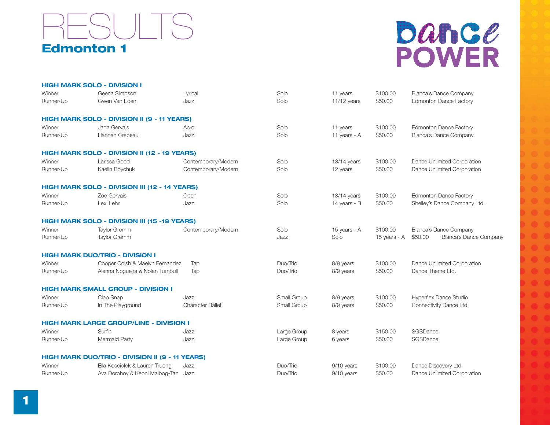

## Dance **POWER**

|           | <b>HIGH MARK SOLO - DIVISION I</b>                  |                         |             |               |              |                                   |
|-----------|-----------------------------------------------------|-------------------------|-------------|---------------|--------------|-----------------------------------|
| Winner    | Geena Simpson                                       | Lyrical                 | Solo        | 11 years      | \$100.00     | Bianca's Dance Company            |
| Runner-Up | Gwen Van Eden                                       | Jazz                    | Solo        | $11/12$ years | \$50.00      | <b>Edmonton Dance Factory</b>     |
|           | HIGH MARK SOLO - DIVISION II (9 - 11 YEARS)         |                         |             |               |              |                                   |
| Winner    | Jada Gervais                                        | Acro                    | Solo        | 11 years      | \$100.00     | <b>Edmonton Dance Factory</b>     |
| Runner-Up | Hannah Crepeau                                      | Jazz                    | Solo        | 11 years - A  | \$50.00      | Bianca's Dance Company            |
|           | HIGH MARK SOLO - DIVISION II (12 - 19 YEARS)        |                         |             |               |              |                                   |
| Winner    | Larissa Good                                        | Contemporary/Modern     | Solo        | $13/14$ years | \$100.00     | Dance Unlimited Corporation       |
| Runner-Up | Kaelin Boychuk                                      | Contemporary/Modern     | Solo        | 12 years      | \$50.00      | Dance Unlimited Corporation       |
|           | HIGH MARK SOLO - DIVISION III (12 - 14 YEARS)       |                         |             |               |              |                                   |
| Winner    | Zoe Gervais                                         | Open                    | Solo        | $13/14$ years | \$100.00     | <b>Edmonton Dance Factory</b>     |
| Runner-Up | Lexi Lehr                                           | Jazz                    | Solo        | 14 years - B  | \$50.00      | Shelley's Dance Company Ltd.      |
|           | <b>HIGH MARK SOLO - DIVISION III (15 -19 YEARS)</b> |                         |             |               |              |                                   |
| Winner    | <b>Taylor Gremm</b>                                 | Contemporary/Modern     | Solo        | 15 years - A  | \$100.00     | Bianca's Dance Company            |
| Runner-Up | <b>Taylor Gremm</b>                                 |                         | Jazz        | Solo          | 15 years - A | Bianca's Dance Company<br>\$50.00 |
|           | <b>HIGH MARK DUO/TRIO - DIVISION I</b>              |                         |             |               |              |                                   |
| Winner    | Cooper Coish & Maelyn Fernandez                     | Tap                     | Duo/Trio    | 8/9 years     | \$100.00     | Dance Unlimited Corporation       |
| Runner-Up | Alenna Nogueira & Nolan Turnbull                    | Tap                     | Duo/Trio    | 8/9 years     | \$50.00      | Dance Theme Ltd.                  |
|           | <b>HIGH MARK SMALL GROUP - DIVISION I</b>           |                         |             |               |              |                                   |
| Winner    | Clap Snap                                           | Jazz                    | Small Group | 8/9 years     | \$100.00     | Hyperflex Dance Studio            |
| Runner-Up | In The Playground                                   | <b>Character Ballet</b> | Small Group | 8/9 years     | \$50.00      | Connectivity Dance Ltd.           |
|           | <b>HIGH MARK LARGE GROUP/LINE - DIVISION I</b>      |                         |             |               |              |                                   |
| Winner    | Surfin                                              | Jazz                    | Large Group | 8 years       | \$150.00     | SGSDance                          |
| Runner-Up | Mermaid Party                                       | Jazz                    | Large Group | 6 years       | \$50.00      | SGSDance                          |
|           | HIGH MARK DUO/TRIO - DIVISION II (9 - 11 YEARS)     |                         |             |               |              |                                   |
| Winner    | Ella Kosciolek & Lauren Truong                      | Jazz                    | Duo/Trio    | 9/10 years    | \$100.00     | Dance Discovery Ltd.              |
| Runner-Up | Ava Dorohoy & Keoni Malbog-Tan Jazz                 |                         | Duo/Trio    | 9/10 years    | \$50.00      | Dance Unlimited Corporation       |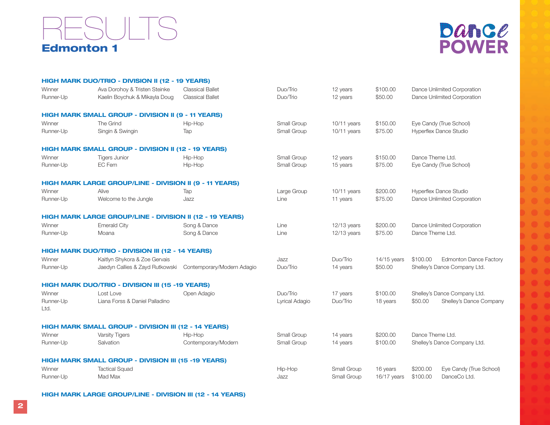## Edmonton 1 RESULTS



|                   | HIGH MARK DUO/TRIO - DIVISION II (12 - 19 YEARS)           |                         |                |               |             |                                           |
|-------------------|------------------------------------------------------------|-------------------------|----------------|---------------|-------------|-------------------------------------------|
| Winner            | Ava Dorohov & Tristen Steinke                              | <b>Classical Ballet</b> | Duo/Trio       | 12 years      | \$100.00    | Dance Unlimited Corporation               |
| Runner-Up         | Kaelin Boychuk & Mikayla Doug                              | <b>Classical Ballet</b> | Duo/Trio       | 12 years      | \$50.00     | Dance Unlimited Corporation               |
|                   | HIGH MARK SMALL GROUP - DIVISION II (9 - 11 YEARS)         |                         |                |               |             |                                           |
| Winner            | The Grind                                                  | Hip-Hop                 | Small Group    | 10/11 years   | \$150.00    | Eye Candy (True School)                   |
| Runner-Up         | Singin & Swingin                                           | Tap                     | Small Group    | $10/11$ years | \$75.00     | Hyperflex Dance Studio                    |
|                   | HIGH MARK SMALL GROUP - DIVISION II (12 - 19 YEARS)        |                         |                |               |             |                                           |
| Winner            | <b>Tigers Junior</b>                                       | Hip-Hop                 | Small Group    | 12 years      | \$150.00    | Dance Theme Ltd.                          |
| Runner-Up         | EC Fem                                                     | Hip-Hop                 | Small Group    | 15 years      | \$75.00     | Eye Candy (True School)                   |
|                   | HIGH MARK LARGE GROUP/LINE - DIVISION II (9 - 11 YEARS)    |                         |                |               |             |                                           |
| Winner            | Alive                                                      | Tap                     | Large Group    | 10/11 years   | \$200.00    | Hyperflex Dance Studio                    |
| Runner-Up         | Welcome to the Jungle                                      | Jazz                    | Line           | 11 years      | \$75.00     | Dance Unlimited Corporation               |
|                   | HIGH MARK LARGE GROUP/LINE - DIVISION II (12 - 19 YEARS)   |                         |                |               |             |                                           |
| Winner            | <b>Emerald City</b>                                        | Song & Dance            | Line           | 12/13 years   | \$200.00    | Dance Unlimited Corporation               |
| Runner-Up         | Moana                                                      | Song & Dance            | Line           | 12/13 years   | \$75.00     | Dance Theme Ltd.                          |
|                   | HIGH MARK DUO/TRIO - DIVISION III (12 - 14 YEARS)          |                         |                |               |             |                                           |
| Winner            | Kaitlyn Shykora & Zoe Gervais                              |                         | Jazz           | Duo/Trio      | 14/15 years | \$100.00<br><b>Edmonton Dance Factory</b> |
| Runner-Up         | Jaedyn Callies & Zayd Rutkowski Contemporary/Modern Adagio |                         | Duo/Trio       | 14 years      | \$50.00     | Shelley's Dance Company Ltd.              |
|                   | HIGH MARK DUO/TRIO - DIVISION III (15 -19 YEARS)           |                         |                |               |             |                                           |
| Winner            | Lost Love                                                  | Open Adagio             | Duo/Trio       | 17 years      | \$100.00    | Shelley's Dance Company Ltd.              |
| Runner-Up<br>Ltd. | Liana Forss & Daniel Palladino                             |                         | Lyrical Adagio | Duo/Trio      | 18 years    | \$50.00<br>Shelley's Dance Company        |
|                   | HIGH MARK SMALL GROUP - DIVISION III (12 - 14 YEARS)       |                         |                |               |             |                                           |
| Winner            | Varsity Tigers                                             | Hip-Hop                 | Small Group    | 14 years      | \$200.00    | Dance Theme Ltd.                          |
| Runner-Up         | Salvation                                                  | Contemporary/Modern     | Small Group    | 14 years      | \$100.00    | Shelley's Dance Company Ltd.              |
|                   | HIGH MARK SMALL GROUP - DIVISION III (15 -19 YEARS)        |                         |                |               |             |                                           |
| Winner            | <b>Tactical Squad</b>                                      |                         | Hip-Hop        | Small Group   | 16 years    | \$200.00<br>Eye Candy (True School)       |
| Runner-Up         | Mad Max                                                    |                         | Jazz           | Small Group   | 16/17 years | \$100.00<br>DanceCo Ltd.                  |

## HIGH MARK LARGE GROUP/LINE - DIVISION III (12 - 14 YEARS)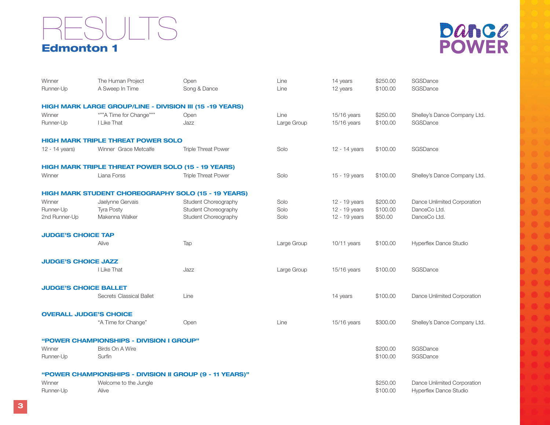## Edmonton 1 RESULTS



| Winner                       | The Human Project                                         | Open                                                     | Line        | 14 years      | \$250.00 | SGSDance                     |
|------------------------------|-----------------------------------------------------------|----------------------------------------------------------|-------------|---------------|----------|------------------------------|
| Runner-Up                    | A Sweep In Time                                           | Song & Dance                                             | Line        | 12 years      | \$100.00 | SGSDance                     |
|                              | HIGH MARK LARGE GROUP/LINE - DIVISION III (15 -19 YEARS)  |                                                          |             |               |          |                              |
| Winner                       | """A Time for Change"""                                   | Open                                                     | Line        | 15/16 years   | \$250.00 | Shelley's Dance Company Ltd. |
| Runner-Up                    | I Like That                                               | Jazz                                                     | Large Group | 15/16 years   | \$100.00 | SGSDance                     |
|                              | <b>HIGH MARK TRIPLE THREAT POWER SOLO</b>                 |                                                          |             |               |          |                              |
| 12 - 14 years)               | Winner Grace Metcalfe                                     | Triple Threat Power                                      | Solo        | 12 - 14 years | \$100.00 | SGSDance                     |
|                              | <b>HIGH MARK TRIPLE THREAT POWER SOLO (15 - 19 YEARS)</b> |                                                          |             |               |          |                              |
| Winner                       | Liana Forss                                               | <b>Triple Threat Power</b>                               | Solo        | 15 - 19 years | \$100.00 | Shelley's Dance Company Ltd. |
|                              | HIGH MARK STUDENT CHOREOGRAPHY SOLO (15 - 19 YEARS)       |                                                          |             |               |          |                              |
| Winner                       | Jaelynne Gervais                                          | Student Choreography                                     | Solo        | 12 - 19 years | \$200.00 | Dance Unlimited Corporation  |
| Runner-Up                    | <b>Tyra Posty</b>                                         | Student Choreography                                     | Solo        | 12 - 19 years | \$100.00 | DanceCo Ltd.                 |
| 2nd Runner-Up                | Makenna Walker                                            | Student Choreography                                     | Solo        | 12 - 19 years | \$50.00  | DanceCo Ltd.                 |
| <b>JUDGE'S CHOICE TAP</b>    |                                                           |                                                          |             |               |          |                              |
|                              | Alive                                                     | Tap                                                      | Large Group | 10/11 years   | \$100.00 | Hyperflex Dance Studio       |
| <b>JUDGE'S CHOICE JAZZ</b>   |                                                           |                                                          |             |               |          |                              |
|                              | I Like That                                               | Jazz                                                     | Large Group | $15/16$ years | \$100.00 | SGSDance                     |
| <b>JUDGE'S CHOICE BALLET</b> |                                                           |                                                          |             |               |          |                              |
|                              | Secrets Classical Ballet                                  | Line                                                     |             | 14 years      | \$100.00 | Dance Unlimited Corporation  |
|                              | <b>OVERALL JUDGE'S CHOICE</b>                             |                                                          |             |               |          |                              |
|                              | "A Time for Change"                                       | Open                                                     | Line        | 15/16 years   | \$300.00 | Shelley's Dance Company Ltd. |
|                              | "POWER CHAMPIONSHIPS - DIVISION I GROUP"                  |                                                          |             |               |          |                              |
| Winner                       | Birds On A Wire                                           |                                                          |             |               | \$200.00 | SGSDance                     |
| Runner-Up                    | Surfin                                                    |                                                          |             |               | \$100.00 | SGSDance                     |
|                              |                                                           | "POWER CHAMPIONSHIPS - DIVISION II GROUP (9 - 11 YEARS)" |             |               |          |                              |
| Winner                       | Welcome to the Jungle                                     |                                                          |             |               | \$250.00 | Dance Unlimited Corporation  |
| Runner-Up                    | Alive                                                     |                                                          |             |               | \$100.00 | Hyperflex Dance Studio       |